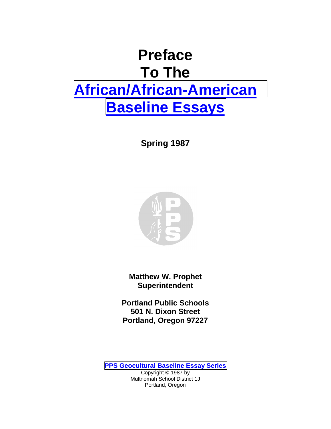# **Preface To The [African/African-American](http://www.pps.k12.or.us/district/depts/mc-me/essays.shtml#afam) [Baseline Essays](http://www.pps.k12.or.us/district/depts/mc-me/essays.shtml#afam)**

**Spring 1987** 



**Matthew W. Prophet Superintendent** 

**Portland Public Schools 501 N. Dixon Street Portland, Oregon 97227**

**[PPS Geocultural Baseline Essay Series](http://www.pps.k12.or.us/district/depts/mc-me/essays.shtml#essays)**

Copyright © 1987 by Multnomah School District 1J Portland, Oregon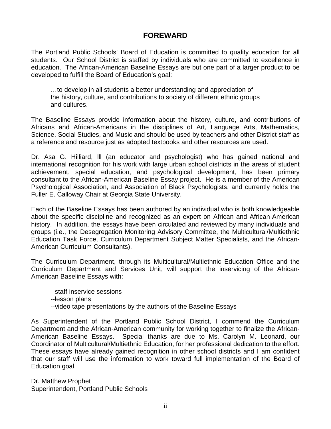# **FOREWARD**

The Portland Public Schools' Board of Education is committed to quality education for all students. Our School District is staffed by individuals who are committed to excellence in education. The African-American Baseline Essays are but one part of a larger product to be developed to fulfill the Board of Education's goal:

…to develop in all students a better understanding and appreciation of the history, culture, and contributions to society of different ethnic groups and cultures.

The Baseline Essays provide information about the history, culture, and contributions of Africans and African-Americans in the disciplines of Art, Language Arts, Mathematics, Science, Social Studies, and Music and should be used by teachers and other District staff as a reference and resource just as adopted textbooks and other resources are used.

Dr. Asa G. Hilliard, lll (an educator and psychologist) who has gained national and international recognition for his work with large urban school districts in the areas of student achievement, special education, and psychological development, has been primary consultant to the African-American Baseline Essay project. He is a member of the American Psychological Association, and Association of Black Psychologists, and currently holds the Fuller E. Calloway Chair at Georgia State University.

Each of the Baseline Essays has been authored by an individual who is both knowledgeable about the specific discipline and recognized as an expert on African and African-American history. In addition, the essays have been circulated and reviewed by many individuals and groups (i.e., the Desegregation Monitoring Advisory Committee, the Multicultural/Multiethnic Education Task Force, Curriculum Department Subject Matter Specialists, and the African-American Curriculum Consultants).

The Curriculum Department, through its Multicultural/Multiethnic Education Office and the Curriculum Department and Services Unit, will support the inservicing of the African-American Baseline Essays with:

 --staff inservice sessions --lesson plans --video tape presentations by the authors of the Baseline Essays

As Superintendent of the Portland Public School District, I commend the Curriculum Department and the African-American community for working together to finalize the African-American Baseline Essays. Special thanks are due to Ms. Carolyn M. Leonard, our Coordinator of Multicultural/Multiethnic Education, for her professional dedication to the effort. These essays have already gained recognition in other school districts and I am confident that our staff will use the information to work toward full implementation of the Board of Education goal.

Dr. Matthew Prophet Superintendent, Portland Public Schools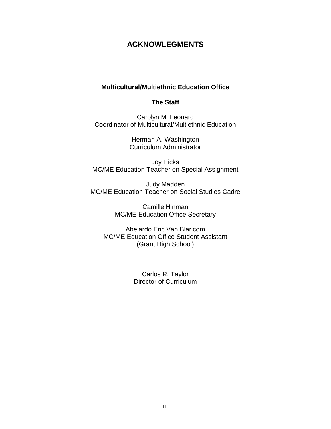# **ACKNOWLEGMENTS**

## **Multicultural/Multiethnic Education Office**

### **The Staff**

Carolyn M. Leonard Coordinator of Multicultural/Multiethnic Education

> Herman A. Washington Curriculum Administrator

Joy Hicks MC/ME Education Teacher on Special Assignment

Judy Madden MC/ME Education Teacher on Social Studies Cadre

> Camille Hinman MC/ME Education Office Secretary

Abelardo Eric Van Blaricom MC/ME Education Office Student Assistant (Grant High School)

> Carlos R. Taylor Director of Curriculum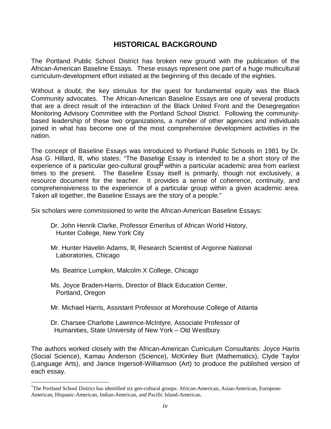# **HISTORICAL BACKGROUND**

The Portland Public School District has broken new ground with the publication of the African-American Baseline Essays. These essays represent one part of a huge multicultural curriculum-development effort initiated at the beginning of this decade of the eighties.

Without a doubt, the key stimulus for the quest for fundamental equity was the Black Community advocates. The African-American Baseline Essays are one of several products that are a direct result of the interaction of the Black United Front and the Desegregation Monitoring Advisory Committee with the Portland School District. Following the communitybased leadership of these two organizations, a number of other agencies and individuals joined in what has become one of the most comprehensive development activities in the nation.

The concept of Baseline Essays was introduced to Portland Public Schools in 1981 by Dr. Asa G. Hillard, lll, who states: "The Baseline Essay is intended to be a short story of the experience of a particular geo-cultural group<sup>\*</sup> within a particular academic area from earliest times to the present. The Baseline Essay itself is primarily, though not exclusively, a resource document for the teacher. It provides a sense of coherence, continuity, and comprehensiveness to the experience of a particular group within a given academic area. Taken all together, the Baseline Essays are the story of a people."

Six scholars were commissioned to write the African-American Baseline Essays:

- Dr. John Henrik Clarke, Professor Emeritus of African World History, Hunter College, New York City
- Mr. Hunter Havelin Adams, lll, Research Scientist of Argonne National Laboratories, Chicago
- Ms. Beatrice Lumpkin, Malcolm X College, Chicago

 $\overline{a}$ 

- Ms. Joyce Braden-Harris, Director of Black Education Center, Portland, Oregon
- Mr. Michael Harris, Assistant Professor at Morehouse College of Atlanta
- Dr. Charsee Charlotte Lawrence-McIntyre, Associate Professor of Humanities, State University of New York – Old Westbury

The authors worked closely with the African-American Curriculum Consultants: Joyce Harris (Social Science), Kamau Anderson (Science), McKinley Burt (Mathematics), Clyde Taylor (Language Arts), and Janice Ingersoll-Williamson (Art) to produce the published version of each essay.

<sup>\*</sup> The Portland School District has identified six geo-cultural groups: African-American, Asian-American, European-American, Hispanic-American, Indian-American, and Pacific Island-American.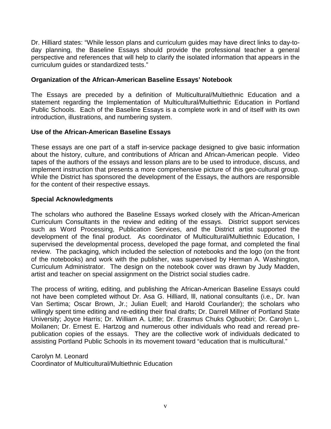Dr. Hilliard states: "While lesson plans and curriculum guides may have direct links to day-today planning, the Baseline Essays should provide the professional teacher a general perspective and references that will help to clarify the isolated information that appears in the curriculum guides or standardized tests."

#### **Organization of the African-American Baseline Essays' Notebook**

The Essays are preceded by a definition of Multicultural/Multiethnic Education and a statement regarding the Implementation of Multicultural/Multiethnic Education in Portland Public Schools. Each of the Baseline Essays is a complete work in and of itself with its own introduction, illustrations, and numbering system.

#### **Use of the African-American Baseline Essays**

These essays are one part of a staff in-service package designed to give basic information about the history, culture, and contributions of African and African-American people. Video tapes of the authors of the essays and lesson plans are to be used to introduce, discuss, and implement instruction that presents a more comprehensive picture of this geo-cultural group. While the District has sponsored the development of the Essays, the authors are responsible for the content of their respective essays.

#### **Special Acknowledgments**

The scholars who authored the Baseline Essays worked closely with the African-American Curriculum Consultants in the review and editing of the essays. District support services such as Word Processing, Publication Services, and the District artist supported the development of the final product. As coordinator of Multicultural/Multiethnic Education, I supervised the developmental process, developed the page format, and completed the final review. The packaging, which included the selection of notebooks and the logo (on the front of the notebooks) and work with the publisher, was supervised by Herman A. Washington, Curriculum Administrator. The design on the notebook cover was drawn by Judy Madden, artist and teacher on special assignment on the District social studies cadre.

The process of writing, editing, and publishing the African-American Baseline Essays could not have been completed without Dr. Asa G. Hilliard, lll, national consultants (i.e., Dr. Ivan Van Sertima; Oscar Brown, Jr.; Julian Euell; and Harold Courlander); the scholars who willingly spent time editing and re-editing their final drafts; Dr. Darrell Millner of Portland State University; Joyce Harris; Dr. William A. Little; Dr. Erasmus Chuks Ogbuobiri; Dr. Carolyn L. Moilanen; Dr. Ernest E. Hartzog and numerous other individuals who read and reread prepublication copies of the essays. They are the collective work of individuals dedicated to assisting Portland Public Schools in its movement toward "education that is multicultural."

Carolyn M. Leonard Coordinator of Multicultural/Multiethnic Education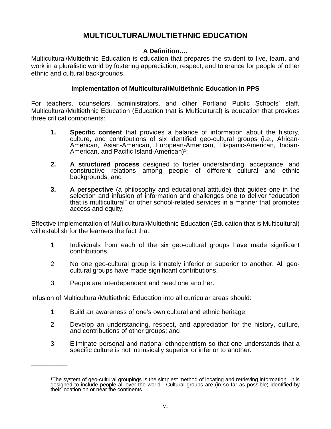# **MULTICULTURAL/MULTIETHNIC EDUCATION**

## **A Definition….**

Multicultural/Multiethnic Education is education that prepares the student to live, learn, and work in a pluralistic world by fostering appreciation, respect, and tolerance for people of other ethnic and cultural backgrounds.

#### **Implementation of Multicultural/Multiethnic Education in PPS**

For teachers, counselors, administrators, and other Portland Public Schools' staff, Multicultural/Multiethnic Education (Education that is Multicultural) is education that provides three critical components:

- **1. Specific content** that provides a balance of information about the history, culture, and contributions of six identified geo-cultural groups (i.e., African-American, Asian-American, European-American, Hispanic-American, Indian-American, and Pacific Island-American)<sup>1</sup>;
- **2. A structured process** designed to foster understanding, acceptance, and constructive relations among people of different cultural and ethnic backgrounds; and
- **3. A perspective** (a philosophy and educational attitude) that guides one in the selection and infusion of information and challenges one to deliver "education that is multicultural" or other school-related services in a manner that promotes access and equity.

Effective implementation of Multicultural/Multiethnic Education (Education that is Multicultural) will establish for the learners the fact that:

- 1. Individuals from each of the six geo-cultural groups have made significant contributions.
- 2. No one geo-cultural group is innately inferior or superior to another. All geocultural groups have made significant contributions.
- 3. People are interdependent and need one another.

\_\_\_\_\_\_\_\_\_\_

Infusion of Multicultural/Multiethnic Education into all curricular areas should:

- 1. Build an awareness of one's own cultural and ethnic heritage;
- 2. Develop an understanding, respect, and appreciation for the history, culture, and contributions of other groups; and
- 3. Eliminate personal and national ethnocentrism so that one understands that a specific culture is not intrinsically superior or inferior to another.

The system of geo-cultural groupings is the simplest method of locating and retrieving information. It is designed to include people all over the world. Cultural groups are (in so far as possible) identified by their location on or near the continents.